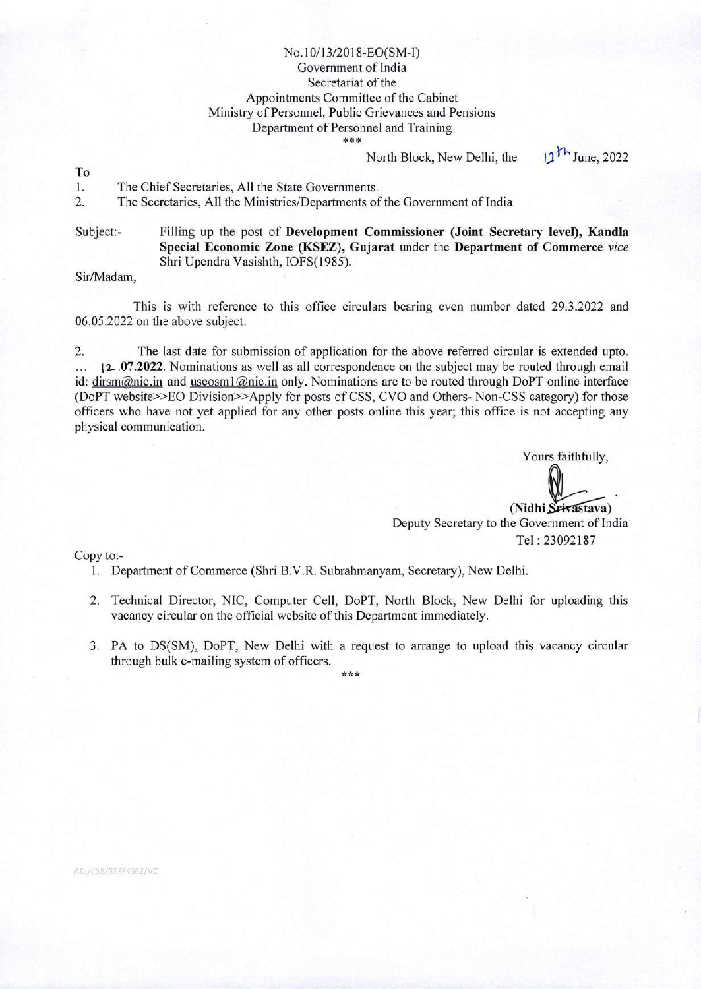## No.10/13/2018-EO(SM-I) Government of India Secretariat of the Appointments Committee of the Cabinet Ministry of Personnel, Public Grievances and Pensions Department of Personnel and Training \*\*\*

North Block, New Delhi, the  $11^{11}$  June, 2022

To

1. The Chief Secretaries, All the State Governments.<br>2. The Secretaries, All the Ministries/Departments of

The Secretaries, All the Ministries/Departments of the Government of India

Subject:- Filling up the post of **Development Commissioner (Joint Secretary level), Kandla Special Economic Zone (KSEZ), Gujarat** under the **Department of Commerce** *vice*  Shri Upendra Vasishth, IOFS(1985).

Sir/Madam,

This is with reference to this office circulars bearing even number dated 29.3.2022 and 06.05.2022 on the above subject.

2. The last date for submission of application for the above referred circular is extended upto. <sup>I</sup>**. .07.2022.** Nominations as well as all correspondence on the subject may be routed through email id: dirsm@nic.in and useosm1@nic.in only. Nominations are to be routed through DoPT online interface (DoPT website>>EO Division>>Apply for posts of CSS, CVO and Others- Non-CSS category) for those officers who have not yet applied for any other posts online this year; this office is not accepting any physical communication.

> Yours faithfully, (Nidhi Srivastava) Deputy Secretary to the Government of India Tel : 23092187

Copy to:-

1. Department of Commerce (Shri B.V.R. Subrahmanyam, Secretary), New Delhi.

- 2. Technical Director, NIC, Computer Cell, DoPT, North Block, New Delhi for uploading this vacancy circular on the official website of this Department immediately.
- 3. PA to DS(SM), DoPT, New Delhi with a request to arrange to upload this vacancy circular through bulk e-mailing system of officers.

\*\*\*

AIG/CSB/SEZ/KSEZ/VC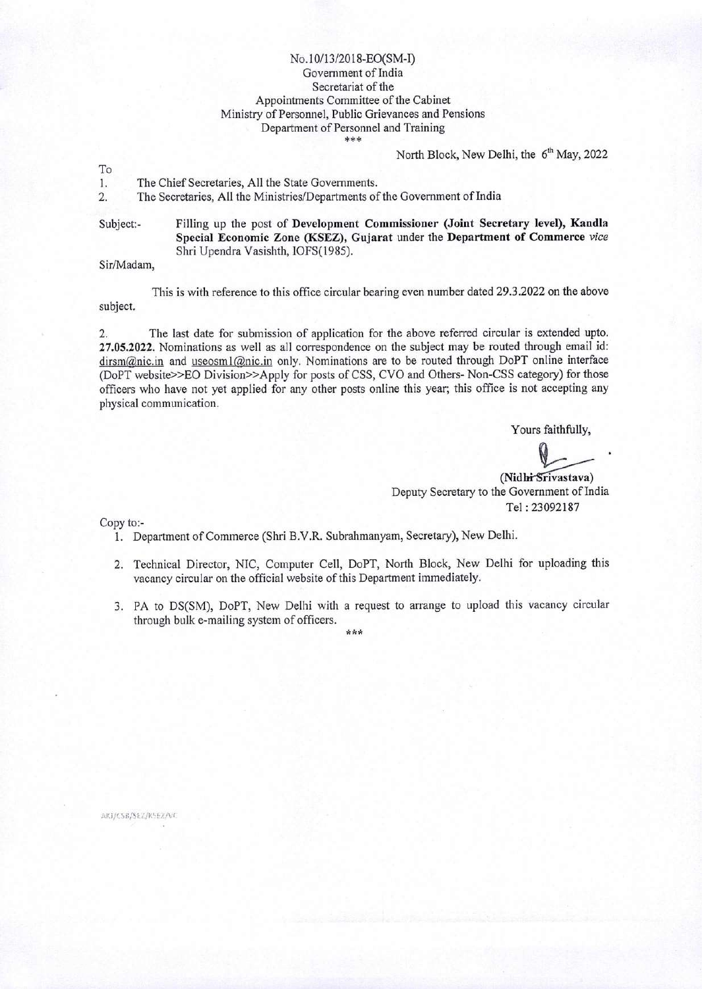## No. 10/13/2018-EO(SM-I) Government of India Secretariat of the Appointments Committee of the Cabinet Ministry of Personnel, Public Grievances and Pensions Department of Personnel and Training

North Block, New Delhi, the 6<sup>th</sup> May, 2022

To

1. The Chief Secretaries, All the State Governments.<br>2. The Secretaries, All the Ministries/Departments of

The Secretaries, All the Ministries/Departments of the Government of India

Subject:- Filling up the post of **Development Commissioner (Joint Secretary level), Kandla Special Economic Zone (KSEZ), Gujarat** under the **Department of Commerce** *vice*  Shri Upendra Vasishth, IOFS( 1985).

Sir/Madam,

This is with reference to this office circular bearing even number dated 29.3 .2022 on the above subject.

2. The last date for submission of application for the above referred circular is extended upto. 27.05.2022. Nominations as well as all correspondence on the subject may be routed through email id: dirsm@nic.in and useosm1@nic.in only. Nominations are to be routed through DoPT online interface (DoPT website>>EO Division>>Apply for posts of CSS, CVO and Others- Non-CSS category) for those officers who have not yet applied for any other posts online this year; this office is not accepting any physical communication.

Yours faithfully,

(Nidhi Srivastava) Deputy Secretary to the Government of India Tel :23092187

Copy to:-

- 1. Department of Commerce (Shri B.V.R. Subrahmanyam, Secretary), New Delhi.
- 2. Technical Director, NIC, Computer Cell, DoPT, North Block, New Delhi for uploading this vacancy circular on the official website of this Department immediately.
- 3. PA to DS(SM), DoPT, New Delhi with a request to arrange to upload this vacancy circular through bulk e-mailing system of officers.

\*\*\*

AKI/CSB/SEZ/KSEZ/VC